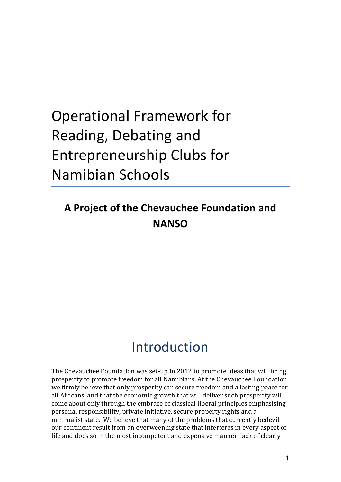# Operational Framework for Reading, Debating and Entrepreneurship Clubs for Namibian Schools

### **A Project of the Chevauchee Foundation and NANSO**

## Introduction

The Chevauchee Foundation was set-up in 2012 to promote ideas that will bring prosperity to promote freedom for all Namibians. At the Chevauchee Foundation we firmly believe that only prosperity can secure freedom and a lasting peace for all Africans and that the economic growth that will deliver such prosperity will come about only through the embrace of classical liberal principles emphasising personal responsibility, private initiative, secure property rights and a minimalist state. We believe that many of the problems that currently bedevil our continent result from an overweening state that interferes in every aspect of life and does so in the most incompetent and expensive manner, lack of clearly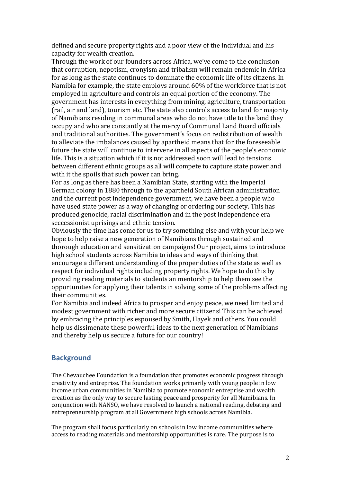defined and secure property rights and a poor view of the individual and his capacity for wealth creation.

Through the work of our founders across Africa, we've come to the conclusion that corruption, nepotism, cronyism and tribalism will remain endemic in Africa for as long as the state continues to dominate the economic life of its citizens. In Namibia for example, the state employs around 60% of the workforce that is not employed in agriculture and controls an equal portion of the economy. The government has interests in everything from mining, agriculture, transportation (rail, air and land), tourism etc. The state also controls access to land for majority of Namibians residing in communal areas who do not have title to the land they occupy and who are constantly at the mercy of Communal Land Board officials and traditional authorities. The government's focus on redistribution of wealth to alleviate the imbalances caused by apartheid means that for the foreseeable future the state will continue to intervene in all aspects of the people's economic life. This is a situation which if it is not addressed soon will lead to tensions between different ethnic groups as all will compete to capture state power and with it the spoils that such power can bring.

For as long as there has been a Namibian State, starting with the Imperial German colony in 1880 through to the apartheid South African administration and the current post independence government, we have been a people who have used state power as a way of changing or ordering our society. This has produced genocide, racial discrimination and in the post independence era seccessionist uprisings and ethnic tension.

Obviously the time has come for us to try something else and with your help we hope to help raise a new generation of Namibians through sustained and thorough education and sensitization campaigns! Our project, aims to introduce high school students across Namibia to ideas and ways of thinking that encourage a different understanding of the proper duties of the state as well as respect for individual rights including property rights. We hope to do this by providing reading materials to students an mentorship to help them see the opportunities for applying their talents in solving some of the problems affecting their communities.

For Namibia and indeed Africa to prosper and enjoy peace, we need limited and modest government with richer and more secure citizens! This can be achieved by embracing the principles espoused by Smith, Hayek and others. You could help us dissimenate these powerful ideas to the next generation of Namibians and thereby help us secure a future for our country!

#### **Background**

The Chevauchee Foundation is a foundation that promotes economic progress through creativity and entreprise. The foundation works primarily with young people in low income urban communities in Namibia to promote economic entreprise and wealth creation as the only way to secure lasting peace and prosperity for all Namibians. In conjunction with NANSO, we have resolved to launch a national reading, debating and entrepreneurship program at all Government high schools across Namibia.

The program shall focus particularly on schools in low income communities where access to reading materials and mentorship opportunities is rare. The purpose is to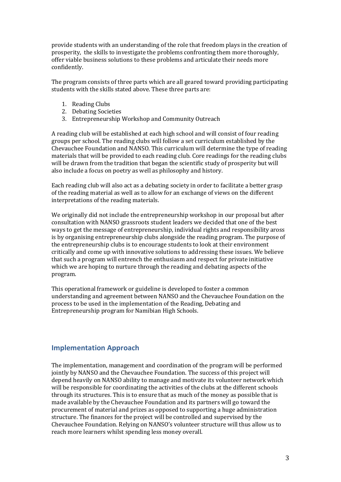provide students with an understanding of the role that freedom plays in the creation of prosperity, the skills to investigate the problems confronting them more thoroughly, offer viable business solutions to these problems and articulate their needs more confidently.

The program consists of three parts which are all geared toward providing participating students with the skills stated above. These three parts are:

- 1. Reading Clubs
- 2. Debating Societies
- 3. Entrepreneurship Workshop and Community Outreach

A reading club will be established at each high school and will consist of four reading groups per school. The reading clubs will follow a set curriculum established by the Chevauchee Foundation and NANSO. This curriculum will determine the type of reading materials that will be provided to each reading club. Core readings for the reading clubs will be drawn from the tradition that began the scientific study of prosperity but will also include a focus on poetry as well as philosophy and history.

Each reading club will also act as a debating society in order to facilitate a better grasp of the reading material as well as to allow for an exchange of views on the different interpretations of the reading materials.

We originally did not include the entrepreneurship workshop in our proposal but after consultation with NANSO grassroots student leaders we decided that one of the best ways to get the message of entrepreneurship, individual rights and responsibility aross is by organising entrepreneurship clubs alongside the reading program. The purpose of the entrepreneurship clubs is to encourage students to look at their environment critically and come up with innovative solutions to addressing these issues. We believe that such a program will entrench the enthusiasm and respect for private initiative which we are hoping to nurture through the reading and debating aspects of the program.

This operational framework or guideline is developed to foster a common understanding and agreement between NANSO and the Chevauchee Foundation on the process to be used in the implementation of the Reading, Debating and Entrepreneurship program for Namibian High Schools.

#### **Implementation Approach**

The implementation, management and coordination of the program will be performed jointly by NANSO and the Chevauchee Foundation. The success of this project will depend heavily on NANSO ability to manage and motivate its volunteer network which will be responsible for coordinating the activities of the clubs at the different schools through its structures. This is to ensure that as much of the money as possible that is made available by the Chevauchee Foundation and its partners will go toward the procurement of material and prizes as opposed to supporting a huge administration structure. The finances for the project will be controlled and supervised by the Chevauchee Foundation. Relying on NANSO's volunteer structure will thus allow us to reach more learners whilst spending less money overall.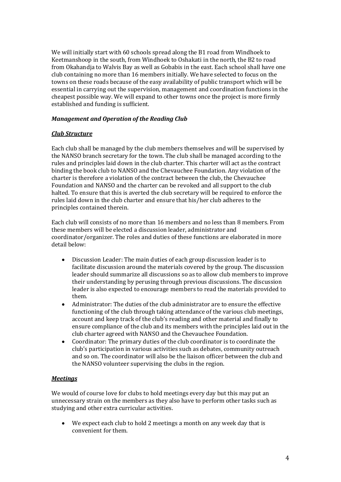We will initially start with 60 schools spread along the B1 road from Windhoek to Keetmanshoop in the south, from Windhoek to Oshakati in the north, the B2 to road from Okahandja to Walvis Bay as well as Gobabis in the east. Each school shall have one club containing no more than 16 members initially. We have selected to focus on the towns on these roads because of the easy availability of public transport which will be essential in carrying out the supervision, management and coordination functions in the cheapest possible way. We will expand to other towns once the project is more firmly established and funding is sufficient.

#### *Management and Operation of the Reading Club*

#### *Club Structure*

Each club shall be managed by the club members themselves and will be supervised by the NANSO branch secretary for the town. The club shall be managed according to the rules and principles laid down in the club charter. This charter will act as the contract binding the book club to NANSO and the Chevauchee Foundation. Any violation of the charter is therefore a violation of the contract between the club, the Chevauchee Foundation and NANSO and the charter can be revoked and all support to the club halted. To ensure that this is averted the club secretary will be required to enforce the rules laid down in the club charter and ensure that his/her club adheres to the principles contained therein.

Each club will consists of no more than 16 members and no less than 8 members. From these members will be elected a discussion leader, administrator and coordinator/organizer. The roles and duties of these functions are elaborated in more detail below:

- $\bullet$ Discussion Leader: The main duties of each group discussion leader is to facilitate discussion around the materials covered by the group. The discussion leader should summarize all discussions so as to allow club members to improve their understanding by perusing through previous discussions. The discussion leader is also expected to encourage members to read the materials provided to them.
- $\bullet$ Administrator: The duties of the club administrator are to ensure the effective functioning of the club through taking attendance of the various club meetings, account and keep track of the club's reading and other material and finally to ensure compliance of the club and its members with the principles laid out in the club charter agreed with NANSO and the Chevauchee Foundation.
- Coordinator: The primary duties of the club coordinator is to coordinate the club's participation in various activities such as debates, community outreach and so on. The coordinator will also be the liaison officer between the club and the NANSO volunteer supervising the clubs in the region.

#### *Meetings*

We would of course love for clubs to hold meetings every day but this may put an unnecessary strain on the members as they also have to perform other tasks such as studying and other extra curricular activities.

We expect each club to hold 2 meetings a month on any week day that is convenient for them.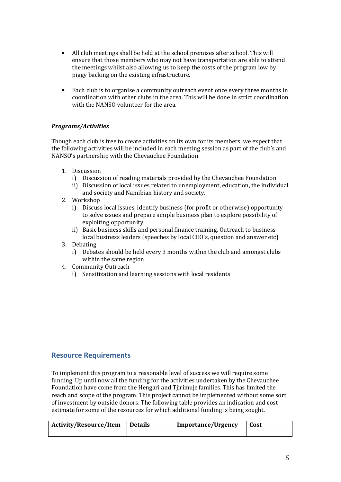- All club meetings shall be held at the school premises after school. This will ensure that those members who may not have transportation are able to attend the meetings whilst also allowing us to keep the costs of the program low by piggy backing on the existing infrastructure.
- Each club is to organise a community outreach event once every three months in coordination with other clubs in the area. This will be done in strict coordination with the NANSO volunteer for the area.

#### *Programs/Activities*

Though each club is free to create activities on its own for its members, we expect that the following activities will be included in each meeting session as part of the club's and NANSO's partnership with the Chevauchee Foundation.

- 1. Discussion
	- i) Discussion of reading materials provided by the Chevauchee Foundation
	- ii) Discussion of local issues related to unemployment, education, the individual and society and Namibian history and society.
- 2. Workshop
	- i) Discuss local issues, identify business (for profit or otherwise) opportunity to solve issues and prepare simple business plan to explore possibility of exploiting opportunity
	- ii) Basic business skills and personal finance training, Outreach to business local business leaders (speeches by local CEO's, question and answer etc)
- 3. Debating
	- i) Debates should be held every 3 months within the club and amongst clubs within the same region
- 4. Community Outreach
	- i) Sensitization and learning sessions with local residents

#### **Resource Requirements**

To implement this program to a reasonable level of success we will require some funding. Up until now all the funding for the activities undertaken by the Chevauchee Foundation have come from the Hengari and Tjirimuje families. This has limited the reach and scope of the program. This project cannot be implemented without some sort of investment by outside donors. The following table provides an indication and cost estimate for some of the resources for which additional funding is being sought.

| <b>Activity/Resource/Item</b> | <b>Details</b> | <b>Importance/Urgency</b> | Cost |
|-------------------------------|----------------|---------------------------|------|
|                               |                |                           |      |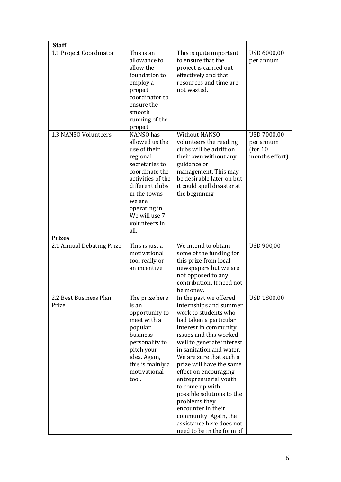| <b>Staff</b>                    |                                                                                                                                                                                                                          |                                                                                                                                                                                                                                                                                                                                                                                                                                                                                                  |                                                        |
|---------------------------------|--------------------------------------------------------------------------------------------------------------------------------------------------------------------------------------------------------------------------|--------------------------------------------------------------------------------------------------------------------------------------------------------------------------------------------------------------------------------------------------------------------------------------------------------------------------------------------------------------------------------------------------------------------------------------------------------------------------------------------------|--------------------------------------------------------|
| 1.1 Project Coordinator         | This is an<br>allowance to<br>allow the<br>foundation to<br>employ a<br>project<br>coordinator to<br>ensure the<br>smooth<br>running of the<br>project                                                                   | This is quite important<br>to ensure that the<br>project is carried out<br>effectively and that<br>resources and time are<br>not wasted.                                                                                                                                                                                                                                                                                                                                                         | USD 6000,00<br>per annum                               |
| 1.3 NANSO Volunteers            | NANSO has<br>allowed us the<br>use of their<br>regional<br>secretaries to<br>coordinate the<br>activities of the<br>different clubs<br>in the towns<br>we are<br>operating in.<br>We will use 7<br>volunteers in<br>all. | <b>Without NANSO</b><br>volunteers the reading<br>clubs will be adrift on<br>their own without any<br>guidance or<br>management. This may<br>be desirable later on but<br>it could spell disaster at<br>the beginning                                                                                                                                                                                                                                                                            | USD 7000,00<br>per annum<br>(for 10)<br>months effort) |
| <b>Prizes</b>                   |                                                                                                                                                                                                                          |                                                                                                                                                                                                                                                                                                                                                                                                                                                                                                  |                                                        |
| 2.1 Annual Debating Prize       | This is just a<br>motivational<br>tool really or<br>an incentive.                                                                                                                                                        | We intend to obtain<br>some of the funding for<br>this prize from local<br>newspapers but we are<br>not opposed to any<br>contribution. It need not<br>be money.                                                                                                                                                                                                                                                                                                                                 | <b>USD 900,00</b>                                      |
| 2.2 Best Business Plan<br>Prize | The prize here<br>is an<br>opportunity to<br>meet with a<br>popular<br>business<br>personality to<br>pitch your<br>idea. Again,<br>this is mainly a<br>motivational<br>tool.                                             | In the past we offered<br>internships and summer<br>work to students who<br>had taken a particular<br>interest in community<br>issues and this worked<br>well to generate interest<br>in sanitation and water.<br>We are sure that such a<br>prize will have the same<br>effect on encouraging<br>entreprenuerial youth<br>to come up with<br>possible solutions to the<br>problems they<br>encounter in their<br>community. Again, the<br>assistance here does not<br>need to be in the form of | USD 1800,00                                            |